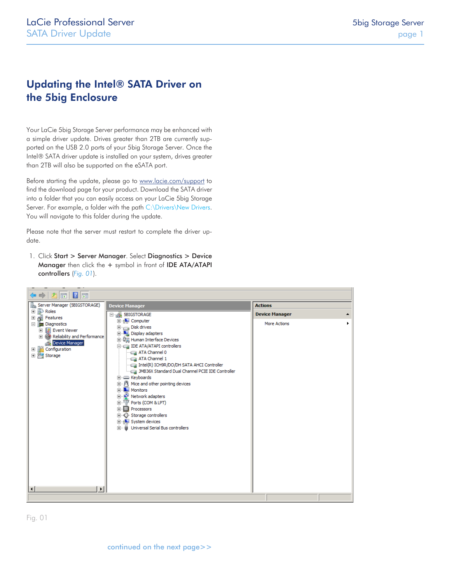## Updating the Intel® SATA Driver on the 5big Enclosure

Your LaCie 5big Storage Server performance may be enhanced with a simple driver update. Drives greater than 2TB are currently supported on the USB 2.0 ports of your 5big Storage Server. Once the Intel® SATA driver update is installed on your system, drives greater than 2TB will also be supported on the eSATA port.

Before starting the update, please go to [www.lacie.com/support](http://http://www.lacie.com/support/index.htm?rid=10007) to find the download page for your product. Download the SATA driver into a folder that you can easily access on your LaCie 5big Storage Server. For example, a folder with the path C:\Drivers\New Drivers. You will navigate to this folder during the update.

Please note that the server must restart to complete the driver update.

1. Click Start > Server Manager. Select Diagnostics > Device Manager then click the + symbol in front of IDE ATA/ATAPI controllers (*[Fig. 01](#page-0-0)*).

<span id="page-0-0"></span>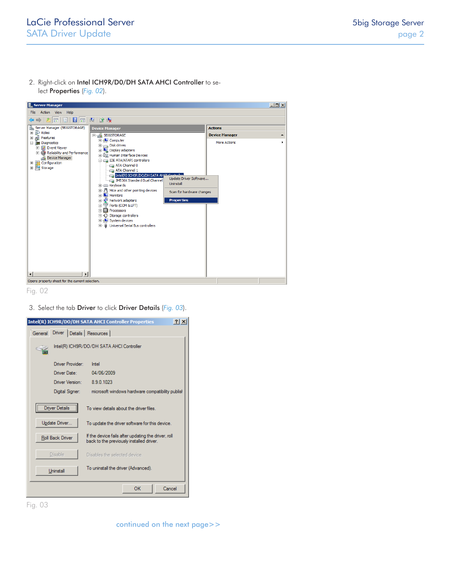2. Right-click on Intel ICH9R/D0/DH SATA AHCI Controller to select Properties (*[Fig. 02](#page-1-0)*).

| <b>L. Server Manager</b>                                                                                                                                               |                                                                                                                                                                                                                                                                                                                                                                                                                                                                                           |                                                                                              |              | $\Box$ $\Box$ $\times$ |  |  |  |
|------------------------------------------------------------------------------------------------------------------------------------------------------------------------|-------------------------------------------------------------------------------------------------------------------------------------------------------------------------------------------------------------------------------------------------------------------------------------------------------------------------------------------------------------------------------------------------------------------------------------------------------------------------------------------|----------------------------------------------------------------------------------------------|--------------|------------------------|--|--|--|
| Action View Help<br>File                                                                                                                                               |                                                                                                                                                                                                                                                                                                                                                                                                                                                                                           |                                                                                              |              |                        |  |  |  |
| 2同日1同以10                                                                                                                                                               |                                                                                                                                                                                                                                                                                                                                                                                                                                                                                           |                                                                                              |              |                        |  |  |  |
| Server Manager (5BIGSTORAGE)<br>i.                                                                                                                                     | <b>Device Manager</b>                                                                                                                                                                                                                                                                                                                                                                                                                                                                     | <b>Actions</b>                                                                               |              |                        |  |  |  |
| <b>ED</b> Roles                                                                                                                                                        | 5BIGSTORAGE                                                                                                                                                                                                                                                                                                                                                                                                                                                                               | <b>Device Manager</b>                                                                        |              |                        |  |  |  |
| El en Features<br><b>El Em Diagnostics</b><br>田 <mark>ま</mark> Event Viewer<br>E (3) Reliability and Performance<br>Device Manager<br>田 in Configuration<br>El Storage | E-ILL Computer<br>Disk drives<br>Display adapters<br>由 Q Human Interface Devices<br><b>E-Call IDE ATA/ATAPI controllers</b><br>ATA Channel 0<br>ATA Channel 1<br>Intel(R) ICH9R/DO/DH SATA AHOT Controller<br>JMB36X Standard Dual Channel<br>Keyboards<br>Mice and other pointing devices<br><b>THE Monitors</b><br>Network adapters<br>E Ports (COM & LPT)<br><b>Fi</b> - <b>B</b> Processors<br>E Storage controllers<br>Filled System devices<br>Fi- Universal Serial Bus controllers | Update Driver Software<br><b>Uninstall</b><br>Scan for hardware changes<br><b>Properties</b> | More Actions |                        |  |  |  |
| $\vert \vert$<br>$\blacktriangleright$<br>Opens property sheet for the current selection.                                                                              |                                                                                                                                                                                                                                                                                                                                                                                                                                                                                           |                                                                                              |              |                        |  |  |  |
|                                                                                                                                                                        |                                                                                                                                                                                                                                                                                                                                                                                                                                                                                           |                                                                                              |              |                        |  |  |  |

<span id="page-1-0"></span>Fig. 02

3. Select the tab Driver to click Driver Details (*[Fig. 03](#page-1-1)*).

|                                                           |                              | Intel(R) ICH9R/DO/DH SATA AHCI Controller Properties<br>$?$ $\times$                            |
|-----------------------------------------------------------|------------------------------|-------------------------------------------------------------------------------------------------|
| General                                                   | Driver   Details   Resources |                                                                                                 |
|                                                           |                              | Intel(R) ICH9R/DO/DH SATA AHCI Controller                                                       |
|                                                           | Driver Provider:             | Intel                                                                                           |
|                                                           | Driver Date:                 | 04/06/2009                                                                                      |
|                                                           | Driver Version:              | 8.9.0.1023                                                                                      |
|                                                           | Digital Signer:              | microsoft windows hardware compatibility publish                                                |
| Driver Details<br>To view details about the driver files. |                              |                                                                                                 |
|                                                           | Update Driver                | To update the driver software for this device.                                                  |
| Roll Back Driver                                          |                              | If the device fails after updating the driver, roll<br>back to the previously installed driver. |
|                                                           | <b>Disable</b>               | Disables the selected device.                                                                   |
|                                                           | Uninstall                    | To uninstall the driver (Advanced).                                                             |
|                                                           |                              | OK<br>Cancel                                                                                    |

<span id="page-1-1"></span>Fig. 03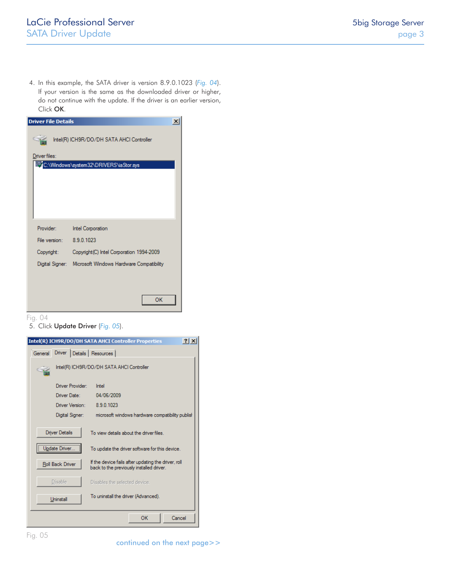4. In this example, the SATA driver is version 8.9.0.1023 (*[Fig. 04](#page-2-0)*). If your version is the same as the downloaded driver or higher, do not continue with the update. If the driver is an earlier version, Click OK.

| <b>Driver File Details</b> |                                           |  |
|----------------------------|-------------------------------------------|--|
|                            | Intel(R) ICH9R/DO/DH SATA AHCI Controller |  |
| Driver files:              |                                           |  |
|                            | C:\Windows\system32\DRIVERS\iaStor.sys    |  |
|                            |                                           |  |
|                            |                                           |  |
|                            |                                           |  |
|                            |                                           |  |
|                            |                                           |  |
| Provider:                  | Intel Corporation                         |  |
| File version:              | 8.9.0.1023                                |  |
| Copyright:                 | Copyright (C) Intel Corporation 1994-2009 |  |
| Digital Signer:            | Microsoft Windows Hardware Compatibility  |  |
|                            |                                           |  |
|                            |                                           |  |
|                            | ОΚ                                        |  |

Fig. 04

<span id="page-2-0"></span>5. Click Update Driver (*[Fig. 05](#page-2-1)*).



<span id="page-2-1"></span>continued on the next page>>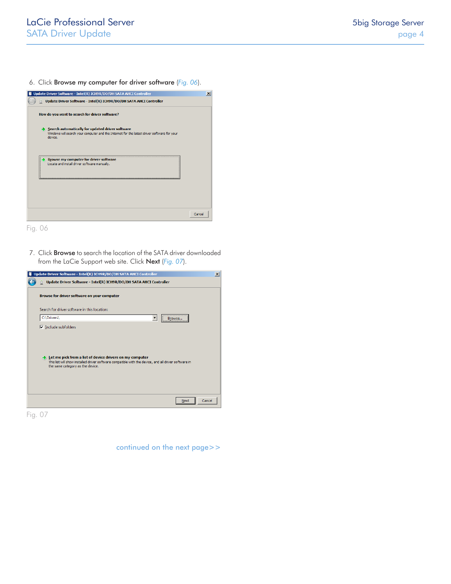6. Click Browse my computer for driver software (*[Fig. 06](#page-3-0)*).



<span id="page-3-0"></span>Fig. 06

7. Click Browse to search the location of the SATA driver downloaded from the LaCie Support web site. Click Next (*[Fig. 07](#page-3-1)*).

| Update Driver Software - Intel(R) ICH9R/DO/DH SATA AHCI Controller                                                                                                                                                                  | $\vert x \vert$ |  |
|-------------------------------------------------------------------------------------------------------------------------------------------------------------------------------------------------------------------------------------|-----------------|--|
| Update Driver Software - Intel(R) ICH9R/DO/DH SATA AHCI Controller                                                                                                                                                                  |                 |  |
| Browse for driver software on your computer                                                                                                                                                                                         |                 |  |
| Search for driver software in this location:                                                                                                                                                                                        |                 |  |
| <br>C:\Drivers\<br>$\overline{\phantom{a}}$<br>Browse                                                                                                                                                                               |                 |  |
| $\nabla$ Include subfolders<br>Let me pick from a list of device drivers on my computer<br>This list will show installed driver software compatible with the device, and all driver software in<br>the same category as the device. |                 |  |
| Cancel<br><b>Next</b>                                                                                                                                                                                                               |                 |  |

<span id="page-3-1"></span>Fig. 07

continued on the next page>>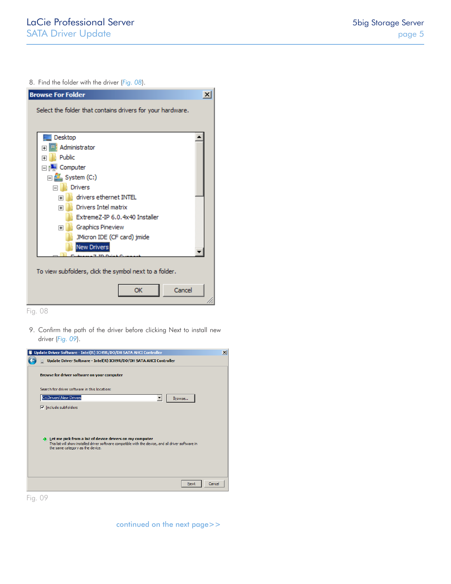8. Find the folder with the driver (*[Fig. 08](#page-4-0)*).



<span id="page-4-0"></span>Fig. 08

9. Confirm the path of the driver before clicking Next to install new driver (*[Fig. 09](#page-4-1)*).

| Update Driver Software - Intel(R) ICH9R/DO/DH SATA AHCI Controller                                                                                                                                                 | $\vert x \vert$ |
|--------------------------------------------------------------------------------------------------------------------------------------------------------------------------------------------------------------------|-----------------|
| Update Driver Software - Intel(R) ICH9R/DO/DH SATA AHCI Controller                                                                                                                                                 |                 |
| Browse for driver software on your computer                                                                                                                                                                        |                 |
| Search for driver software in this location:                                                                                                                                                                       |                 |
| C:\Drivers\New Drivers<br>Browse<br>▼                                                                                                                                                                              |                 |
| $\overline{\triangledown}$ Include subfolders                                                                                                                                                                      |                 |
| $\rightarrow$ Let me pick from a list of device drivers on my computer<br>This list will show installed driver software compatible with the device, and all driver software in<br>the same category as the device. |                 |
| Cancel<br><b>Next</b>                                                                                                                                                                                              |                 |
|                                                                                                                                                                                                                    |                 |

<span id="page-4-1"></span>Fig. 09

continued on the next page>>